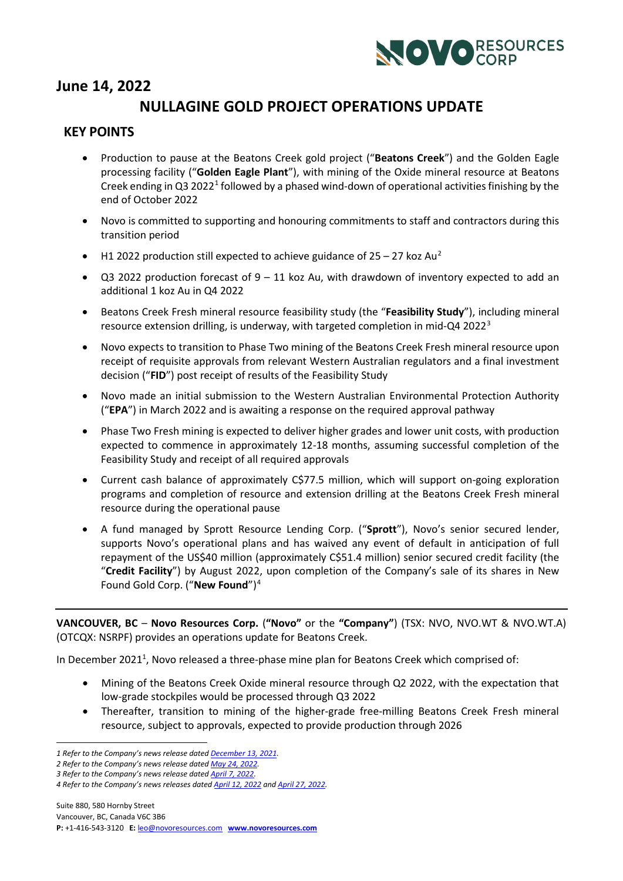

# **June 14, 2022**

## <span id="page-0-0"></span>**NULLAGINE GOLD PROJECT OPERATIONS UPDATE**

### **KEY POINTS**

- Production to pause at the Beatons Creek gold project ("**Beatons Creek**") and the Golden Eagle processing facility ("**Golden Eagle Plant**"), with mining of the Oxide mineral resource at Beatons Creek ending in Q3 2022<sup>[1](#page-0-1)</sup> followed by a phased wind-down of operational activities finishing by the end of October 2022
- Novo is committed to supporting and honouring commitments to staff and contractors during this transition period
- H1 [2](#page-0-2)022 production still expected to achieve guidance of  $25 27$  koz Au<sup>2</sup>
- Q3 2022 production forecast of  $9 11$  koz Au, with drawdown of inventory expected to add an additional 1 koz Au in Q4 2022
- Beatons Creek Fresh mineral resource feasibility study (the "**Feasibility Study**"), including mineral resource extension drilling, is underway, with targeted completion in mid-Q4 2022[3](#page-0-3)
- Novo expects to transition to Phase Two mining of the Beatons Creek Fresh mineral resource upon receipt of requisite approvals from relevant Western Australian regulators and a final investment decision ("**FID**") post receipt of results of the Feasibility Study
- Novo made an initial submission to the Western Australian Environmental Protection Authority ("**EPA**") in March 2022 and is awaiting a response on the required approval pathway
- Phase Two Fresh mining is expected to deliver higher grades and lower unit costs, with production expected to commence in approximately 12-18 months, assuming successful completion of the Feasibility Study and receipt of all required approvals
- Current cash balance of approximately C\$77.5 million, which will support on-going exploration programs and completion of resource and extension drilling at the Beatons Creek Fresh mineral resource during the operational pause
- <span id="page-0-5"></span>• A fund managed by Sprott Resource Lending Corp. ("**Sprott**"), Novo's senior secured lender, supports Novo's operational plans and has waived any event of default in anticipation of full repayment of the US\$40 million (approximately C\$51.4 million) senior secured credit facility (the "**Credit Facility**") by August 2022, upon completion of the Company's sale of its shares in New Found Gold Corp. ("**New Found**")[4](#page-0-4)

**VANCOUVER, BC – Novo Resources Corp. ("Novo"** or the "Company") (TSX: NVO, NVO.WT & NVO.WT.A) (OTCQX: NSRPF) provides an operations update for Beatons Creek.

In December 2021<sup>1</sup>, Novo released a three-phase mine plan for Beatons Creek which comprised of:

- Mining of the Beatons Creek Oxide mineral resource through Q2 2022, with the expectation that low-grade stockpiles would be processed through Q3 2022
- Thereafter, transition to mining of the higher-grade free-milling Beatons Creek Fresh mineral resource, subject to approvals, expected to provide production through 2026

<span id="page-0-3"></span>*3 Refer to the Company's news release date[d April 7, 2022.](https://novoresources.com/wp-content/uploads/2022/04/Novo-Q1-22-Ops-Update-FINAL.pdf?_ga=2.147866096.614899599.1650922133-441614328.1650922133&_gl=1*18yf6hk*_ga*NDQxNjE0MzI4LjE2NTA5MjIxMzM.*_ga_GZ8D5VXBV5*MTY1MDkyNDE5Ny4yLjAuMTY1MDkyNDE5Ny4w)*

<span id="page-0-1"></span>*<sup>1</sup> Refer to the Company's news release date[d December 13, 2021.](https://novoresources.com/wp-content/uploads/2022/01/2021-12-13.pdf)*

<span id="page-0-2"></span>*<sup>2</sup> Refer to the Company's news release date[d May 24, 2022.](https://novoresources.com/wp-content/uploads/2022/05/BC-Guidance-Revision-May-2022-FINAL.pdf)*

<span id="page-0-4"></span>*<sup>4</sup> Refer to the Company's news releases date[d April 12, 2022](https://novoresources.com/wp-content/uploads/2022/04/220411-Novo-NFG-Sale-News-Release-FINAL.pdf) and [April 27, 2022.](https://novoresources.com/wp-content/uploads/2022/04/Novo-NFG-Tranche-1-Completion-FINAL.pdf)*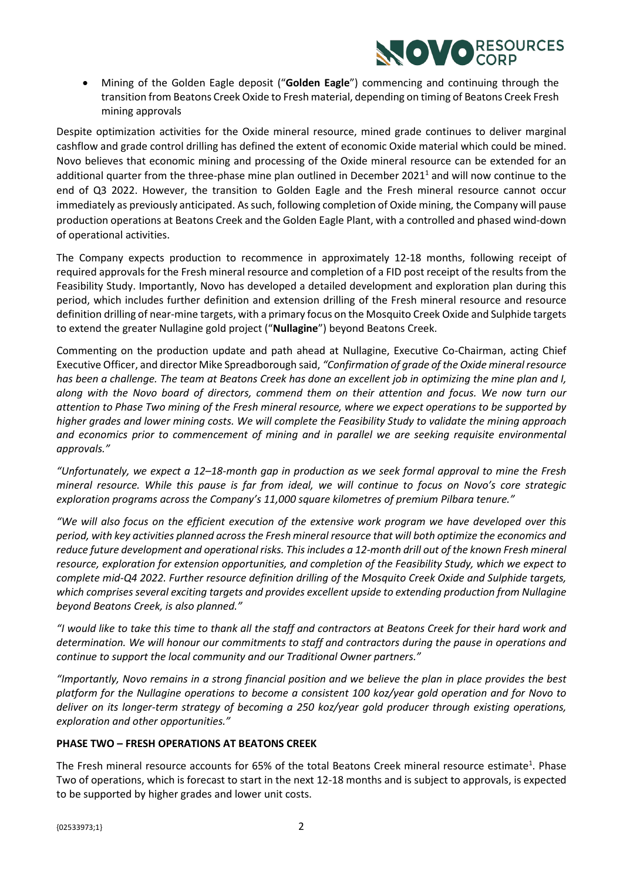

• Mining of the Golden Eagle deposit ("**Golden Eagle**") commencing and continuing through the transition from Beatons Creek Oxide to Fresh material, depending on timing of Beatons Creek Fresh mining approvals

Despite optimization activities for the Oxide mineral resource, mined grade continues to deliver marginal cashflow and grade control drilling has defined the extent of economic Oxide material which could be mined. Novo believes that economic mining and processing of the Oxide mineral resource can be extended for an additional quarter from the three-phase mine plan outlined in December 2021<sup>1</sup> and will now continue to the end of Q3 2022. However, the transition to Golden Eagle and the Fresh mineral resource cannot occur immediately as previously anticipated. As such, following completion of Oxide mining, the Company will pause production operations at Beatons Creek and the Golden Eagle Plant, with a controlled and phased wind-down of operational activities.

The Company expects production to recommence in approximately 12-18 months, following receipt of required approvals for the Fresh mineral resource and completion of a FID post receipt of the results from the Feasibility Study. Importantly, Novo has developed a detailed development and exploration plan during this period, which includes further definition and extension drilling of the Fresh mineral resource and resource definition drilling of near-mine targets, with a primary focus on the Mosquito Creek Oxide and Sulphide targets to extend the greater Nullagine gold project ("**Nullagine**") beyond Beatons Creek.

Commenting on the production update and path ahead at Nullagine, Executive Co-Chairman, acting Chief Executive Officer, and director Mike Spreadborough said, *"Confirmation of grade of the Oxide mineral resource has been a challenge. The team at Beatons Creek has done an excellent job in optimizing the mine plan and I, along with the Novo board of directors, commend them on their attention and focus. We now turn our attention to Phase Two mining of the Fresh mineral resource, where we expect operations to be supported by higher grades and lower mining costs. We will complete the Feasibility Study to validate the mining approach and economics prior to commencement of mining and in parallel we are seeking requisite environmental approvals."*

*"Unfortunately, we expect a 12–18-month gap in production as we seek formal approval to mine the Fresh mineral resource. While this pause is far from ideal, we will continue to focus on Novo's core strategic exploration programs across the Company's 11,000 square kilometres of premium Pilbara tenure."*

*"We will also focus on the efficient execution of the extensive work program we have developed over this period, with key activities planned across the Fresh mineral resource that will both optimize the economics and reduce future development and operational risks. This includes a 12-month drill out of the known Fresh mineral resource, exploration for extension opportunities, and completion of the Feasibility Study, which we expect to complete mid-Q4 2022. Further resource definition drilling of the Mosquito Creek Oxide and Sulphide targets, which comprises several exciting targets and provides excellent upside to extending production from Nullagine beyond Beatons Creek, is also planned."*

*"I would like to take this time to thank all the staff and contractors at Beatons Creek for their hard work and determination. We will honour our commitments to staff and contractors during the pause in operations and continue to support the local community and our Traditional Owner partners."*

*"Importantly, Novo remains in a strong financial position and we believe the plan in place provides the best platform for the Nullagine operations to become a consistent 100 koz/year gold operation and for Novo to deliver on its longer-term strategy of becoming a 250 koz/year gold producer through existing operations, exploration and other opportunities."*

#### **PHASE TWO – FRESH OPERATIONS AT BEATONS CREEK**

The Fresh mineral resource accounts for 65% of the total Beatons Creek mineral resource estimate<sup>1</sup>. Phase Two of operations, which is forecast to start in the next 12-18 months and is subject to approvals, is expected to be supported by higher grades and lower unit costs.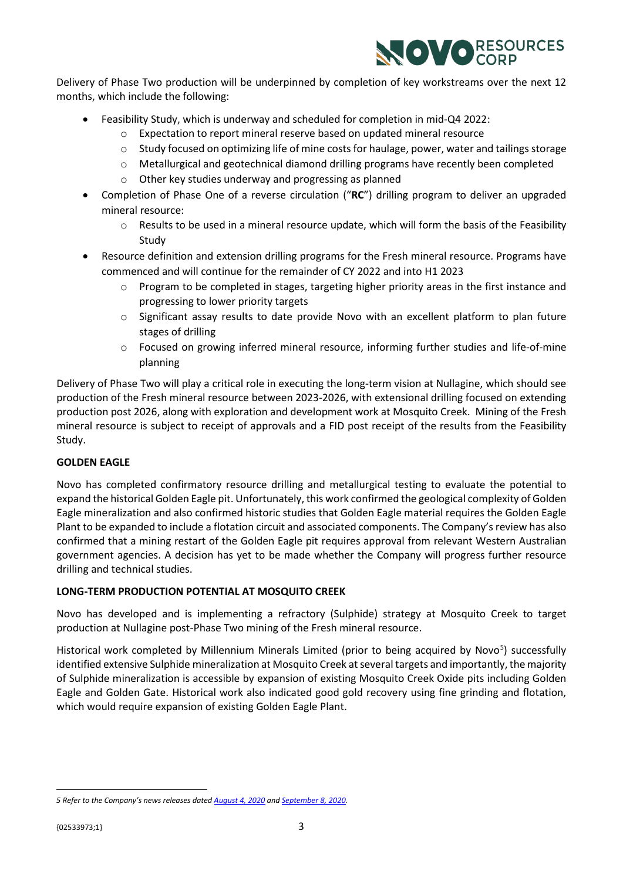

Delivery of Phase Two production will be underpinned by completion of key workstreams over the next 12 months, which include the following:

- Feasibility Study, which is underway and scheduled for completion in mid-Q4 2022:
	- o Expectation to report mineral reserve based on updated mineral resource
	- $\circ$  Study focused on optimizing life of mine costs for haulage, power, water and tailings storage
	- o Metallurgical and geotechnical diamond drilling programs have recently been completed
	- o Other key studies underway and progressing as planned
- Completion of Phase One of a reverse circulation ("**RC**") drilling program to deliver an upgraded mineral resource:
	- $\circ$  Results to be used in a mineral resource update, which will form the basis of the Feasibility Study
- Resource definition and extension drilling programs for the Fresh mineral resource. Programs have commenced and will continue for the remainder of CY 2022 and into H1 2023
	- $\circ$  Program to be completed in stages, targeting higher priority areas in the first instance and progressing to lower priority targets
	- $\circ$  Significant assay results to date provide Novo with an excellent platform to plan future stages of drilling
	- o Focused on growing inferred mineral resource, informing further studies and life-of-mine planning

Delivery of Phase Two will play a critical role in executing the long-term vision at Nullagine, which should see production of the Fresh mineral resource between 2023-2026, with extensional drilling focused on extending production post 2026, along with exploration and development work at Mosquito Creek. Mining of the Fresh mineral resource is subject to receipt of approvals and a FID post receipt of the results from the Feasibility Study.

#### **GOLDEN EAGLE**

Novo has completed confirmatory resource drilling and metallurgical testing to evaluate the potential to expand the historical Golden Eagle pit. Unfortunately, this work confirmed the geological complexity of Golden Eagle mineralization and also confirmed historic studies that Golden Eagle material requires the Golden Eagle Plant to be expanded to include a flotation circuit and associated components. The Company's review has also confirmed that a mining restart of the Golden Eagle pit requires approval from relevant Western Australian government agencies. A decision has yet to be made whether the Company will progress further resource drilling and technical studies.

#### **LONG-TERM PRODUCTION POTENTIAL AT MOSQUITO CREEK**

Novo has developed and is implementing a refractory (Sulphide) strategy at Mosquito Creek to target production at Nullagine post-Phase Two mining of the Fresh mineral resource.

Historical work completed by Millennium Minerals Limited (prior to being acquired by Novo<sup>[5](#page-2-0)</sup>) successfully identified extensive Sulphide mineralization at Mosquito Creek at several targets and importantly, the majority of Sulphide mineralization is accessible by expansion of existing Mosquito Creek Oxide pits including Golden Eagle and Golden Gate. Historical work also indicated good gold recovery using fine grinding and flotation, which would require expansion of existing Golden Eagle Plant.

<span id="page-2-0"></span>*<sup>5</sup> Refer to the Company's news releases date[d August 4, 2020](https://novoresources.com/wp-content/uploads/2022/05/2020-08-04.pdf) an[d September 8, 2020.](https://novoresources.com/wp-content/uploads/2022/05/2020-09-08.pdf)*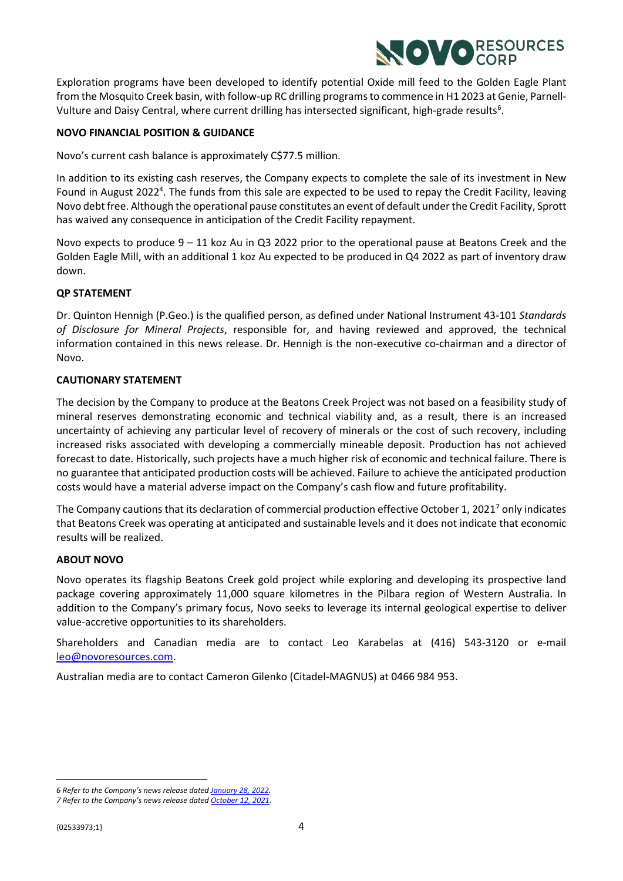

Exploration programs have been developed to identify potential Oxide mill feed to the Golden Eagle Plant from the Mosquito Creek basin, with follow-up RC drilling programs to commence in H1 2023 at Genie, Parnell-Vulture and Daisy Central, where current drilling has intersected significant, high-grade results<sup>[6](#page-3-0)</sup>.

#### **NOVO FINANCIAL POSITION & GUIDANCE**

Novo's current cash balance is approximately C\$77.5 million.

In addition to its existing cash reserves, the Company expects to complete the sale of its investment in New Found in August 2022<sup>4</sup>. The funds from this sale are expected to be used to repay the Credit Facility, leaving Novo debt free. Although the operational pause constitutes an event of default under the Credit Facility, Sprott has waived any consequence in anticipation of the Credit Facility repayment.

Novo expects to produce 9 – 11 koz Au in Q3 2022 prior to the operational pause at Beatons Creek and the Golden Eagle Mill, with an additional 1 koz Au expected to be produced in Q4 2022 as part of inventory draw down.

#### **QP STATEMENT**

Dr. Quinton Hennigh (P.Geo.) is the qualified person, as defined under National Instrument 43-101 *Standards of Disclosure for Mineral Projects*, responsible for, and having reviewed and approved, the technical information contained in this news release. Dr. Hennigh is the non-executive co-chairman and a director of Novo.

#### **CAUTIONARY STATEMENT**

The decision by the Company to produce at the Beatons Creek Project was not based on a feasibility study of mineral reserves demonstrating economic and technical viability and, as a result, there is an increased uncertainty of achieving any particular level of recovery of minerals or the cost of such recovery, including increased risks associated with developing a commercially mineable deposit. Production has not achieved forecast to date. Historically, such projects have a much higher risk of economic and technical failure. There is no guarantee that anticipated production costs will be achieved. Failure to achieve the anticipated production costs would have a material adverse impact on the Company's cash flow and future profitability.

The Company cautions that its declaration of commercial production effective October 1, 2021<sup>[7](#page-3-1)</sup> only indicates that Beatons Creek was operating at anticipated and sustainable levels and it does not indicate that economic results will be realized.

#### **ABOUT NOVO**

Novo operates its flagship Beatons Creek gold project while exploring and developing its prospective land package covering approximately 11,000 square kilometres in the Pilbara region of Western Australia. In addition to the Company's primary focus, Novo seeks to leverage its internal geological expertise to deliver value-accretive opportunities to its shareholders.

Shareholders and Canadian media are to contact Leo Karabelas at (416) 543-3120 or e-mail [leo@novoresources.com.](mailto:leo@novoresources.com)

Australian media are to contact Cameron Gilenko (Citadel-MAGNUS) at 0466 984 953.

<span id="page-3-1"></span><span id="page-3-0"></span>*<sup>6</sup> Refer to the Company's news release date[d January 28, 2022.](https://novoresources.com/wp-content/uploads/2022/03/220127-Exploration-Update_Jan2022-FINAL.pdf)*